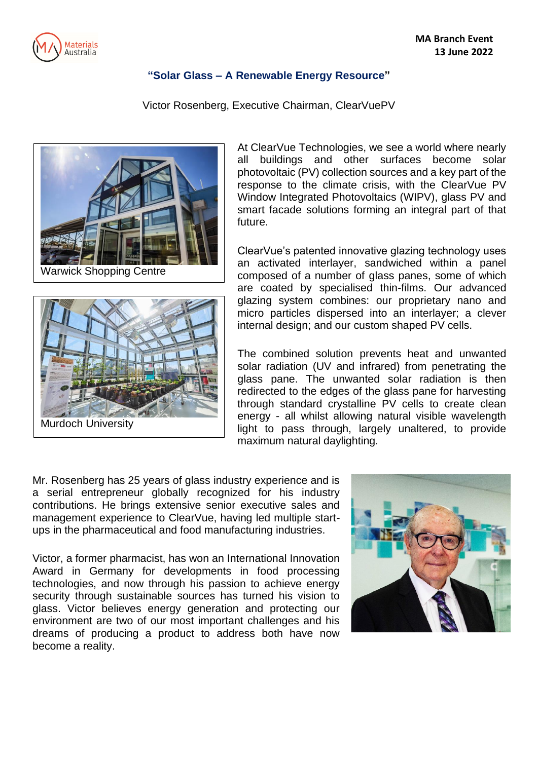

## **"Solar Glass – A Renewable Energy Resource"**

Victor Rosenberg, Executive Chairman, ClearVuePV







At ClearVue Technologies, we see a world where nearly all buildings and other surfaces become solar photovoltaic (PV) collection sources and a key part of the response to the climate crisis, with the ClearVue PV Window Integrated Photovoltaics (WIPV), glass PV and smart facade solutions forming an integral part of that future.

ClearVue's patented innovative glazing technology uses an activated interlayer, sandwiched within a panel composed of a number of glass panes, some of which are coated by specialised thin-films. Our advanced glazing system combines: our proprietary nano and micro particles dispersed into an interlayer; a clever internal design; and our custom shaped PV cells.

The combined solution prevents heat and unwanted solar radiation (UV and infrared) from penetrating the glass pane. The unwanted solar radiation is then redirected to the edges of the glass pane for harvesting through standard crystalline PV cells to create clean energy - all whilst allowing natural visible wavelength light to pass through, largely unaltered, to provide maximum natural daylighting.

Mr. Rosenberg has 25 years of glass industry experience and is a serial entrepreneur globally recognized for his industry contributions. He brings extensive senior executive sales and management experience to ClearVue, having led multiple startups in the pharmaceutical and food manufacturing industries.

Victor, a former pharmacist, has won an International Innovation Award in Germany for developments in food processing technologies, and now through his passion to achieve energy security through sustainable sources has turned his vision to glass. Victor believes energy generation and protecting our environment are two of our most important challenges and his dreams of producing a product to address both have now become a reality.